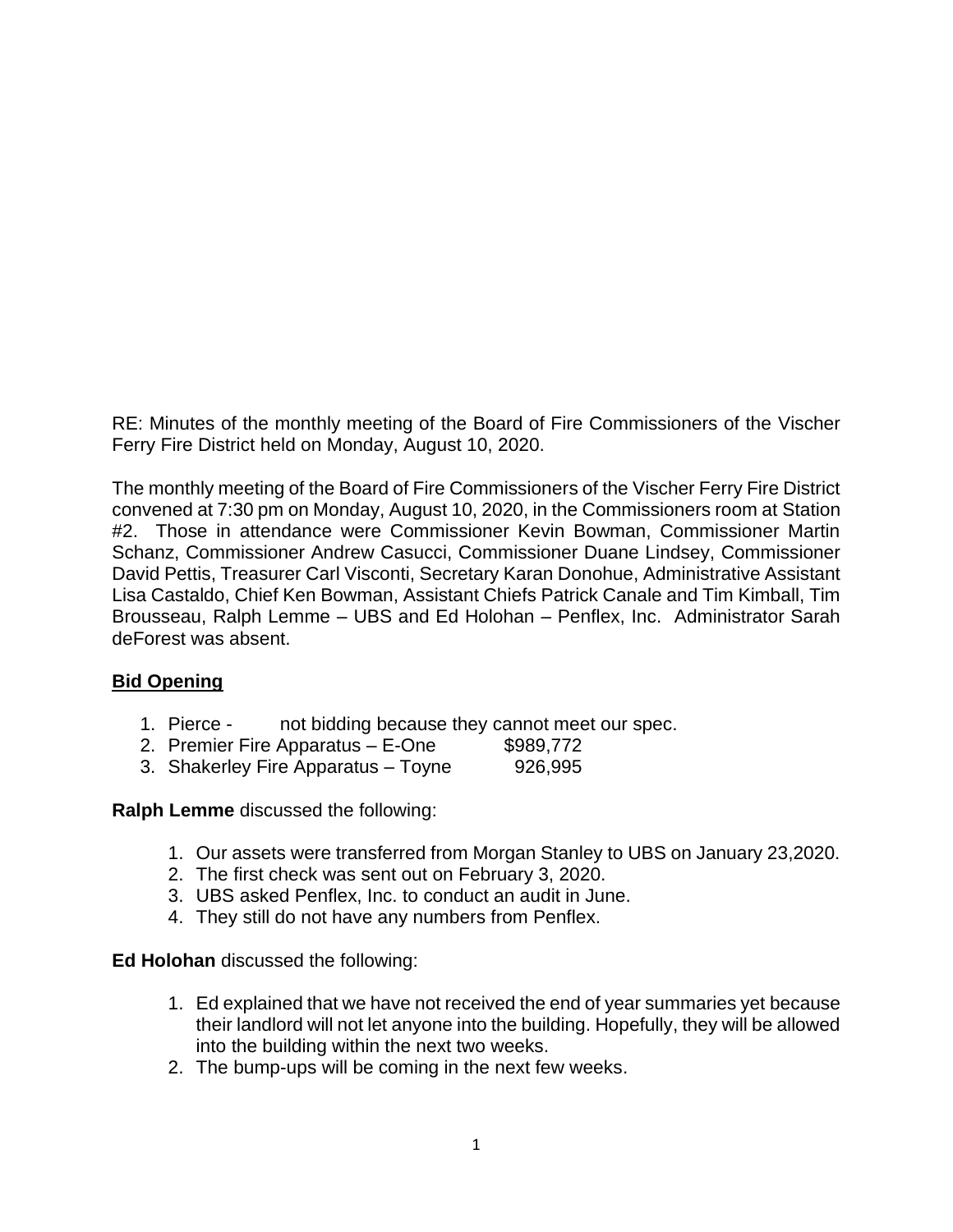RE: Minutes of the monthly meeting of the Board of Fire Commissioners of the Vischer Ferry Fire District held on Monday, August 10, 2020.

The monthly meeting of the Board of Fire Commissioners of the Vischer Ferry Fire District convened at 7:30 pm on Monday, August 10, 2020, in the Commissioners room at Station #2. Those in attendance were Commissioner Kevin Bowman, Commissioner Martin Schanz, Commissioner Andrew Casucci, Commissioner Duane Lindsey, Commissioner David Pettis, Treasurer Carl Visconti, Secretary Karan Donohue, Administrative Assistant Lisa Castaldo, Chief Ken Bowman, Assistant Chiefs Patrick Canale and Tim Kimball, Tim Brousseau, Ralph Lemme – UBS and Ed Holohan – Penflex, Inc. Administrator Sarah deForest was absent.

#### **Bid Opening**

- 1. Pierce not bidding because they cannot meet our spec.
- 2. Premier Fire Apparatus E-One \$989,772
- 3. Shakerley Fire Apparatus Toyne 926,995

**Ralph Lemme** discussed the following:

- 1. Our assets were transferred from Morgan Stanley to UBS on January 23,2020.
- 2. The first check was sent out on February 3, 2020.
- 3. UBS asked Penflex, Inc. to conduct an audit in June.
- 4. They still do not have any numbers from Penflex.

#### **Ed Holohan** discussed the following:

- 1. Ed explained that we have not received the end of year summaries yet because their landlord will not let anyone into the building. Hopefully, they will be allowed into the building within the next two weeks.
- 2. The bump-ups will be coming in the next few weeks.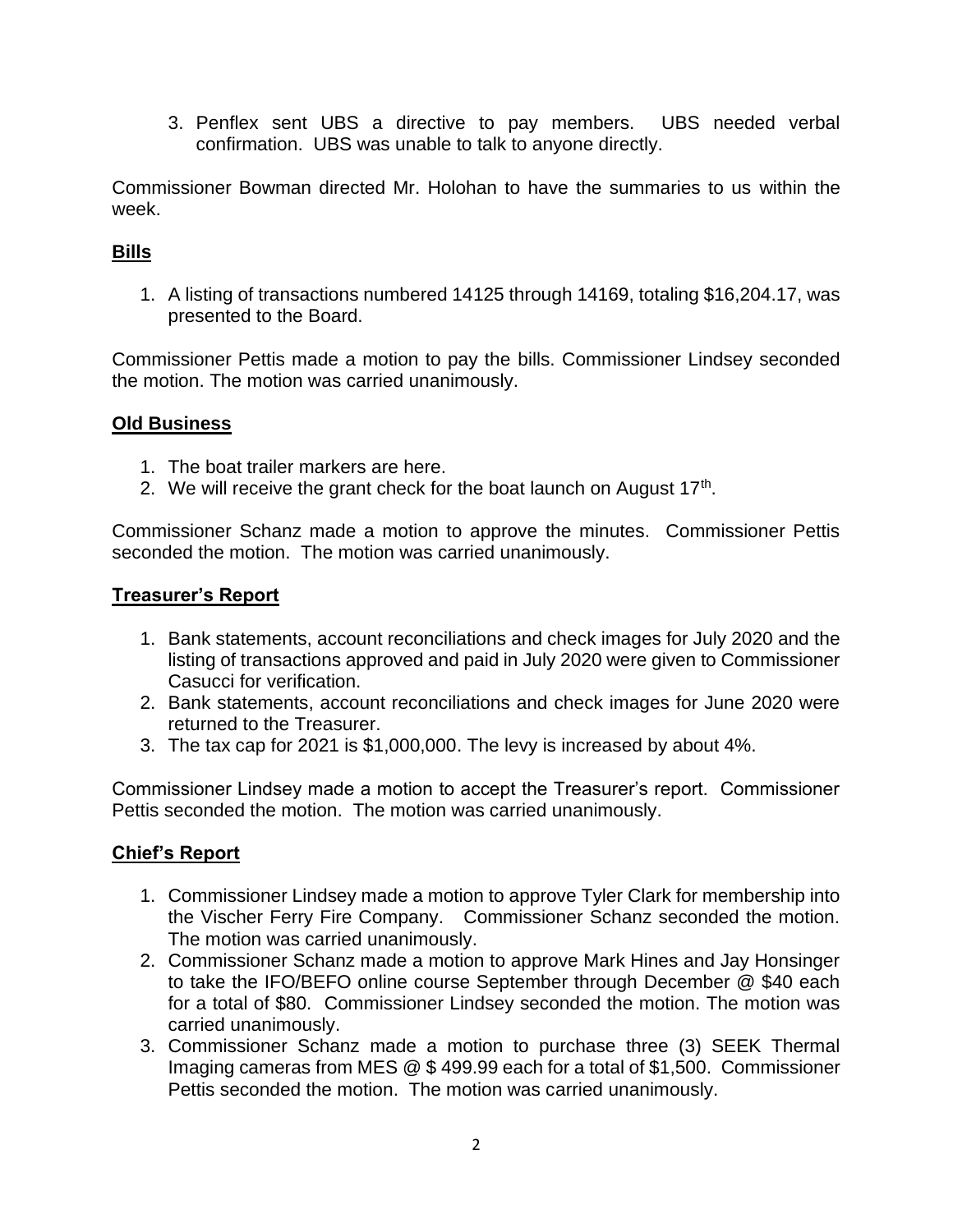3. Penflex sent UBS a directive to pay members. UBS needed verbal confirmation. UBS was unable to talk to anyone directly.

Commissioner Bowman directed Mr. Holohan to have the summaries to us within the week.

# **Bills**

1. A listing of transactions numbered 14125 through 14169, totaling \$16,204.17, was presented to the Board.

Commissioner Pettis made a motion to pay the bills. Commissioner Lindsey seconded the motion. The motion was carried unanimously.

### **Old Business**

- 1. The boat trailer markers are here.
- 2. We will receive the grant check for the boat launch on August  $17<sup>th</sup>$ .

Commissioner Schanz made a motion to approve the minutes. Commissioner Pettis seconded the motion. The motion was carried unanimously.

### **Treasurer's Report**

- 1. Bank statements, account reconciliations and check images for July 2020 and the listing of transactions approved and paid in July 2020 were given to Commissioner Casucci for verification.
- 2. Bank statements, account reconciliations and check images for June 2020 were returned to the Treasurer.
- 3. The tax cap for 2021 is \$1,000,000. The levy is increased by about 4%.

Commissioner Lindsey made a motion to accept the Treasurer's report. Commissioner Pettis seconded the motion. The motion was carried unanimously.

## **Chief's Report**

- 1. Commissioner Lindsey made a motion to approve Tyler Clark for membership into the Vischer Ferry Fire Company. Commissioner Schanz seconded the motion. The motion was carried unanimously.
- 2. Commissioner Schanz made a motion to approve Mark Hines and Jay Honsinger to take the IFO/BEFO online course September through December @ \$40 each for a total of \$80. Commissioner Lindsey seconded the motion. The motion was carried unanimously.
- 3. Commissioner Schanz made a motion to purchase three (3) SEEK Thermal Imaging cameras from MES @ \$ 499.99 each for a total of \$1,500. Commissioner Pettis seconded the motion. The motion was carried unanimously.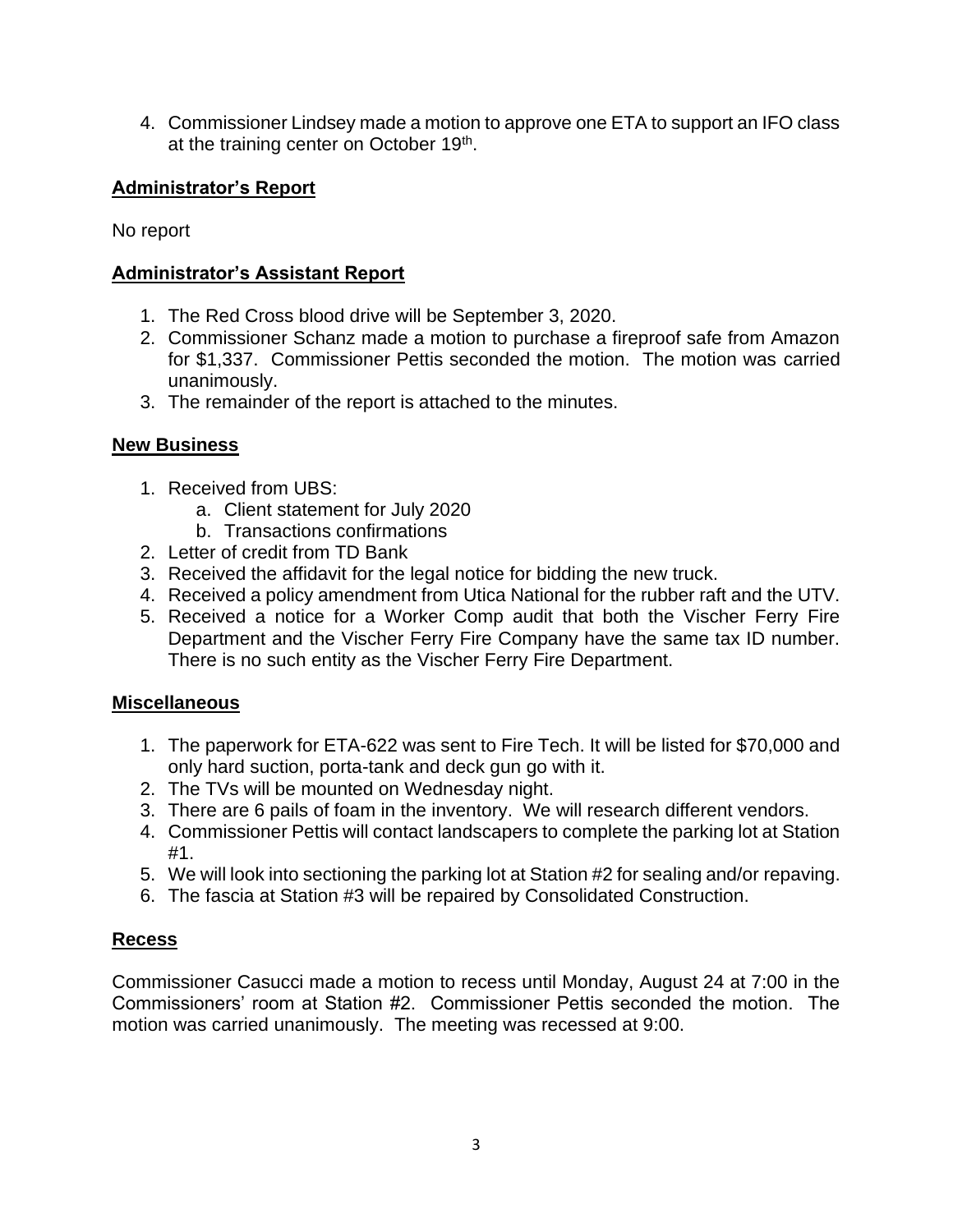4. Commissioner Lindsey made a motion to approve one ETA to support an IFO class at the training center on October 19<sup>th</sup>.

## **Administrator's Report**

No report

## **Administrator's Assistant Report**

- 1. The Red Cross blood drive will be September 3, 2020.
- 2. Commissioner Schanz made a motion to purchase a fireproof safe from Amazon for \$1,337. Commissioner Pettis seconded the motion. The motion was carried unanimously.
- 3. The remainder of the report is attached to the minutes.

## **New Business**

- 1. Received from UBS:
	- a. Client statement for July 2020
	- b. Transactions confirmations
- 2. Letter of credit from TD Bank
- 3. Received the affidavit for the legal notice for bidding the new truck.
- 4. Received a policy amendment from Utica National for the rubber raft and the UTV.
- 5. Received a notice for a Worker Comp audit that both the Vischer Ferry Fire Department and the Vischer Ferry Fire Company have the same tax ID number. There is no such entity as the Vischer Ferry Fire Department.

## **Miscellaneous**

- 1. The paperwork for ETA-622 was sent to Fire Tech. It will be listed for \$70,000 and only hard suction, porta-tank and deck gun go with it.
- 2. The TVs will be mounted on Wednesday night.
- 3. There are 6 pails of foam in the inventory. We will research different vendors.
- 4. Commissioner Pettis will contact landscapers to complete the parking lot at Station #1.
- 5. We will look into sectioning the parking lot at Station #2 for sealing and/or repaving.
- 6. The fascia at Station #3 will be repaired by Consolidated Construction.

## **Recess**

Commissioner Casucci made a motion to recess until Monday, August 24 at 7:00 in the Commissioners' room at Station #2. Commissioner Pettis seconded the motion. The motion was carried unanimously. The meeting was recessed at 9:00.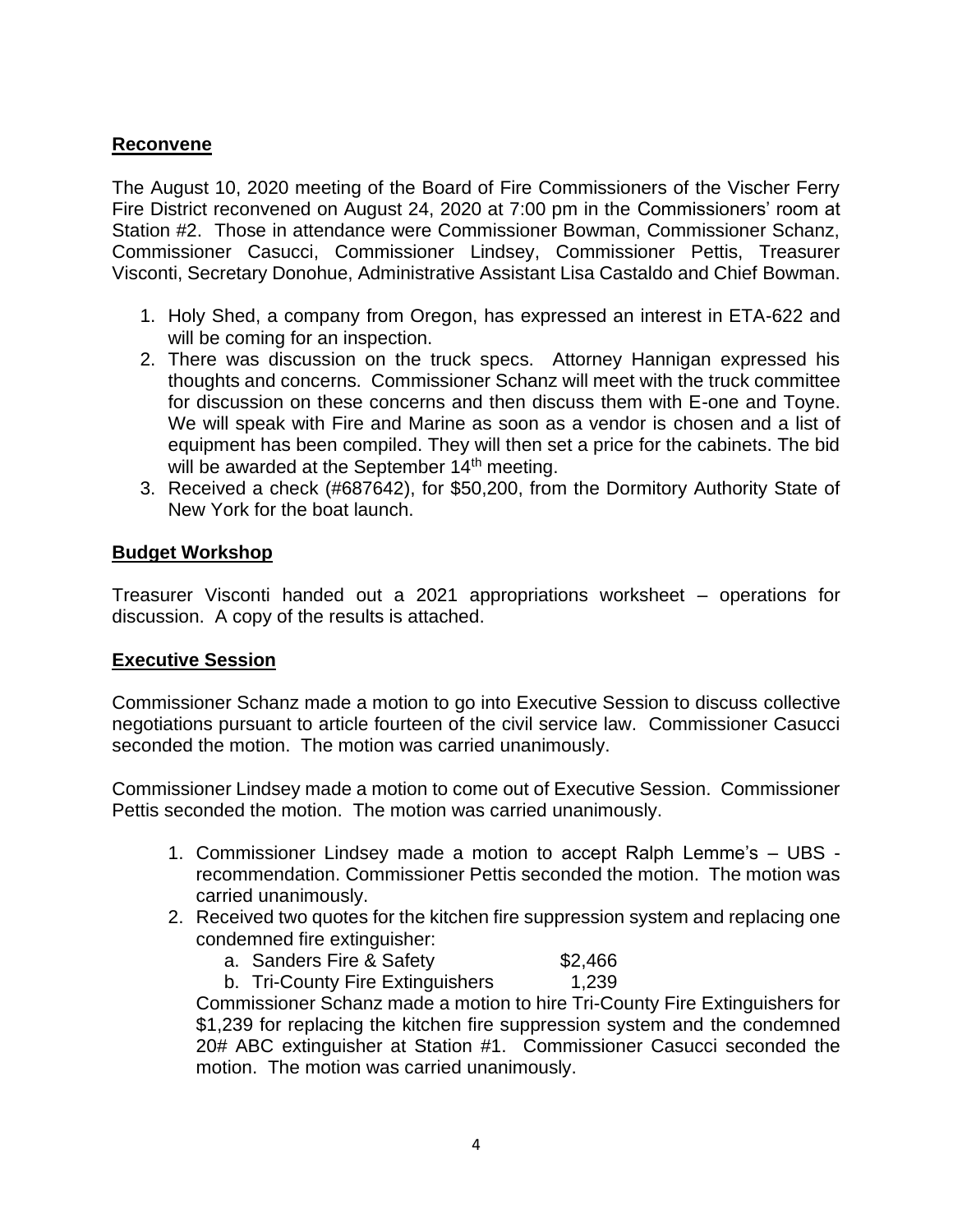### **Reconvene**

The August 10, 2020 meeting of the Board of Fire Commissioners of the Vischer Ferry Fire District reconvened on August 24, 2020 at 7:00 pm in the Commissioners' room at Station #2. Those in attendance were Commissioner Bowman, Commissioner Schanz, Commissioner Casucci, Commissioner Lindsey, Commissioner Pettis, Treasurer Visconti, Secretary Donohue, Administrative Assistant Lisa Castaldo and Chief Bowman.

- 1. Holy Shed, a company from Oregon, has expressed an interest in ETA-622 and will be coming for an inspection.
- 2. There was discussion on the truck specs. Attorney Hannigan expressed his thoughts and concerns. Commissioner Schanz will meet with the truck committee for discussion on these concerns and then discuss them with E-one and Toyne. We will speak with Fire and Marine as soon as a vendor is chosen and a list of equipment has been compiled. They will then set a price for the cabinets. The bid will be awarded at the September  $14<sup>th</sup>$  meeting.
- 3. Received a check (#687642), for \$50,200, from the Dormitory Authority State of New York for the boat launch.

### **Budget Workshop**

Treasurer Visconti handed out a 2021 appropriations worksheet – operations for discussion. A copy of the results is attached.

#### **Executive Session**

Commissioner Schanz made a motion to go into Executive Session to discuss collective negotiations pursuant to article fourteen of the civil service law. Commissioner Casucci seconded the motion. The motion was carried unanimously.

Commissioner Lindsey made a motion to come out of Executive Session. Commissioner Pettis seconded the motion. The motion was carried unanimously.

- 1. Commissioner Lindsey made a motion to accept Ralph Lemme's UBS recommendation. Commissioner Pettis seconded the motion. The motion was carried unanimously.
- 2. Received two quotes for the kitchen fire suppression system and replacing one condemned fire extinguisher:
	- a. Sanders Fire & Safety **\$2,466**
	- b. Tri-County Fire Extinguishers 1,239

Commissioner Schanz made a motion to hire Tri-County Fire Extinguishers for \$1,239 for replacing the kitchen fire suppression system and the condemned 20# ABC extinguisher at Station #1. Commissioner Casucci seconded the motion. The motion was carried unanimously.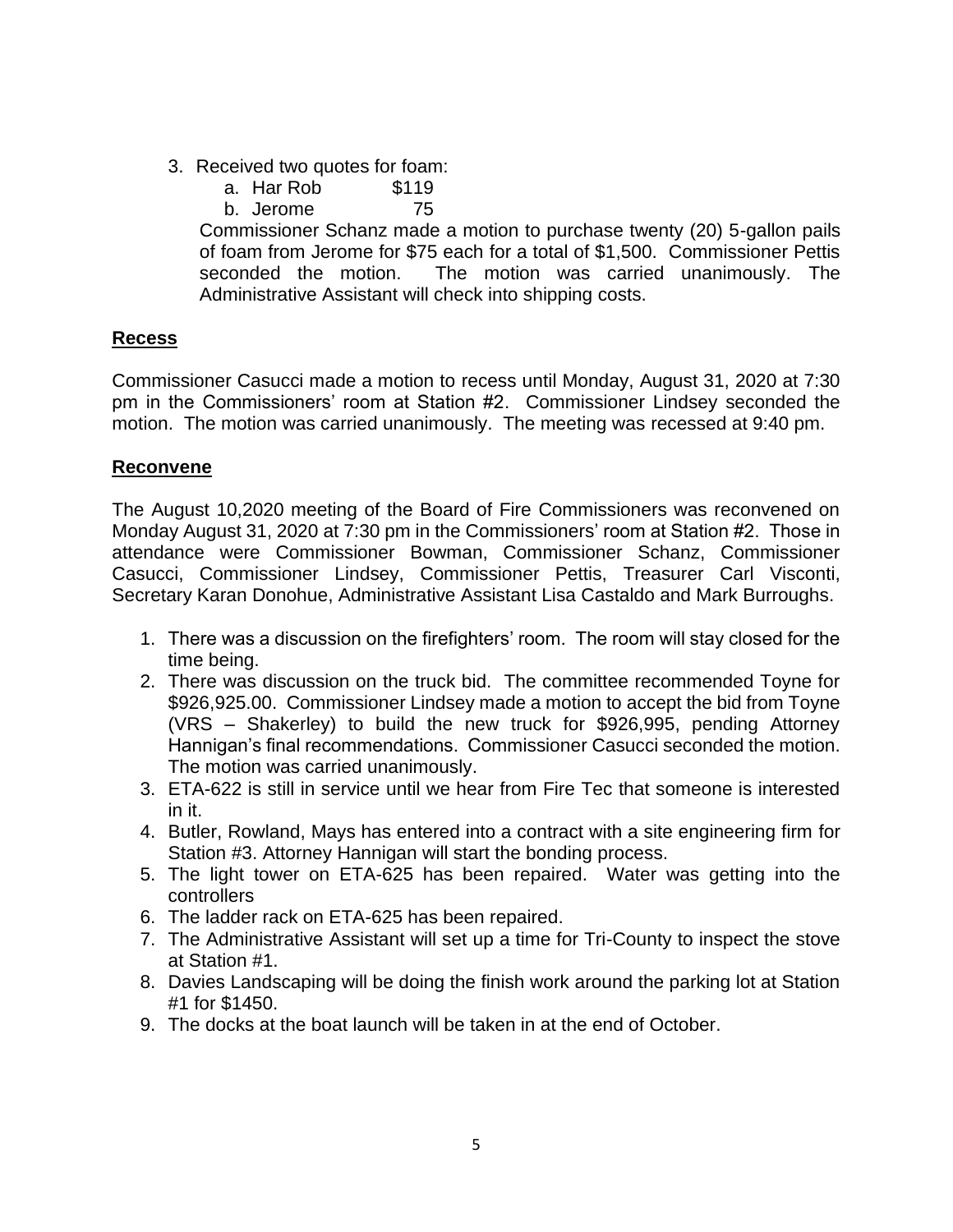- 3. Received two quotes for foam:
	- a. Har Rob \$119
	- b. Jerome 75

Commissioner Schanz made a motion to purchase twenty (20) 5-gallon pails of foam from Jerome for \$75 each for a total of \$1,500. Commissioner Pettis seconded the motion. The motion was carried unanimously. The Administrative Assistant will check into shipping costs.

### **Recess**

Commissioner Casucci made a motion to recess until Monday, August 31, 2020 at 7:30 pm in the Commissioners' room at Station #2. Commissioner Lindsey seconded the motion. The motion was carried unanimously. The meeting was recessed at 9:40 pm.

#### **Reconvene**

The August 10,2020 meeting of the Board of Fire Commissioners was reconvened on Monday August 31, 2020 at 7:30 pm in the Commissioners' room at Station #2. Those in attendance were Commissioner Bowman, Commissioner Schanz, Commissioner Casucci, Commissioner Lindsey, Commissioner Pettis, Treasurer Carl Visconti, Secretary Karan Donohue, Administrative Assistant Lisa Castaldo and Mark Burroughs.

- 1. There was a discussion on the firefighters' room. The room will stay closed for the time being.
- 2. There was discussion on the truck bid. The committee recommended Toyne for \$926,925.00. Commissioner Lindsey made a motion to accept the bid from Toyne (VRS – Shakerley) to build the new truck for \$926,995, pending Attorney Hannigan's final recommendations. Commissioner Casucci seconded the motion. The motion was carried unanimously.
- 3. ETA-622 is still in service until we hear from Fire Tec that someone is interested in it.
- 4. Butler, Rowland, Mays has entered into a contract with a site engineering firm for Station #3. Attorney Hannigan will start the bonding process.
- 5. The light tower on ETA-625 has been repaired. Water was getting into the controllers
- 6. The ladder rack on ETA-625 has been repaired.
- 7. The Administrative Assistant will set up a time for Tri-County to inspect the stove at Station #1.
- 8. Davies Landscaping will be doing the finish work around the parking lot at Station #1 for \$1450.
- 9. The docks at the boat launch will be taken in at the end of October.